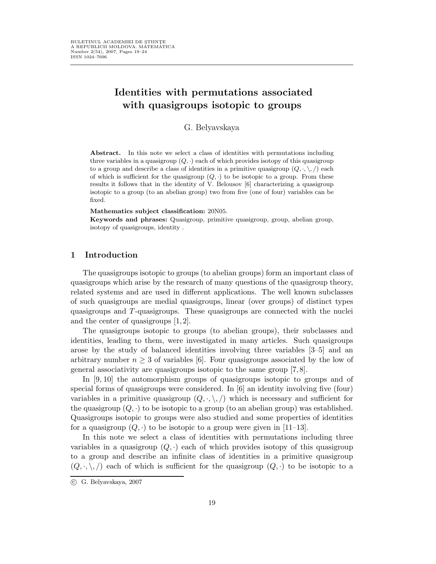# Identities with permutations associated with quasigroups isotopic to groups

G. Belyavskaya

Abstract. In this note we select a class of identities with permutations including three variables in a quasigroup  $(Q, \cdot)$  each of which provides isotopy of this quasigroup to a group and describe a class of identities in a primitive quasigroup  $(Q, \cdot, \setminus, \cdot)$  each of which is sufficient for the quasigroup  $(Q, \cdot)$  to be isotopic to a group. From these results it follows that in the identity of V. Belousov [6] characterizing a quasigroup isotopic to a group (to an abelian group) two from five (one of four) variables can be fixed.

#### Mathematics subject classification: 20N05.

Keywords and phrases: Quasigroup, primitive quasigroup, group, abelian group, isotopy of quasigroups, identity .

## 1 Introduction

The quasigroups isotopic to groups (to abelian groups) form an important class of quasigroups which arise by the research of many questions of the quasigroup theory, related systems and are used in different applications. The well known subclasses of such quasigroups are medial quasigroups, linear (over groups) of distinct types quasigroups and T-quasigroups. These quasigroups are connected with the nuclei and the center of quasigroups [1, 2].

The quasigroups isotopic to groups (to abelian groups), their subclasses and identities, leading to them, were investigated in many articles. Such quasigroups arose by the study of balanced identities involving three variables [3–5] and an arbitrary number  $n \geq 3$  of variables [6]. Four quasigroups associated by the low of general associativity are quasigroups isotopic to the same group [7, 8].

In [9, 10] the automorphism groups of quasigroups isotopic to groups and of special forms of quasigroups were considered. In [6] an identity involving five (four) variables in a primitive quasigroup  $(Q, \cdot, \cdot, \cdot)$  which is necessary and sufficient for the quasigroup  $(Q, \cdot)$  to be isotopic to a group (to an abelian group) was established. Quasigroups isotopic to groups were also studied and some properties of identities for a quasigroup  $(Q, \cdot)$  to be isotopic to a group were given in [11–13].

In this note we select a class of identities with permutations including three variables in a quasigroup  $(Q, \cdot)$  each of which provides isotopy of this quasigroup to a group and describe an infinite class of identities in a primitive quasigroup  $(Q, \cdot, \setminus, \cdot)$  each of which is sufficient for the quasigroup  $(Q, \cdot)$  to be isotopic to a

c G. Belyavskaya, 2007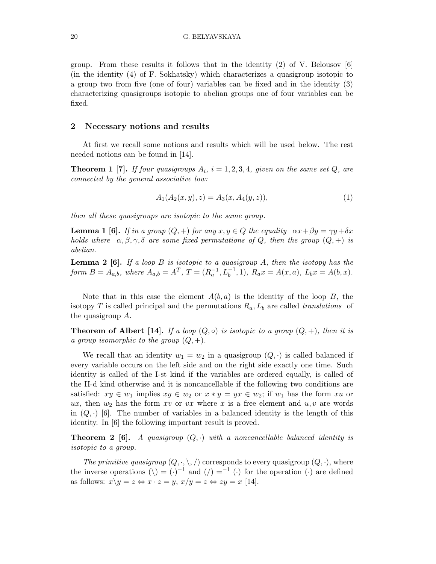group. From these results it follows that in the identity  $(2)$  of V. Belousov [6] (in the identity (4) of F. Sokhatsky) which characterizes a quasigroup isotopic to a group two from five (one of four) variables can be fixed and in the identity (3) characterizing quasigroups isotopic to abelian groups one of four variables can be fixed.

### 2 Necessary notions and results

At first we recall some notions and results which will be used below. The rest needed notions can be found in [14].

**Theorem 1** [7]. If four quasigroups  $A_i$ ,  $i = 1, 2, 3, 4$ , given on the same set Q, are connected by the general associative low:

$$
A_1(A_2(x, y), z) = A_3(x, A_4(y, z)),
$$
\n(1)

then all these quasigroups are isotopic to the same group.

**Lemma 1 [6].** If in a group  $(Q,+)$  for any  $x, y \in Q$  the equality  $\alpha x + \beta y = \gamma y + \delta x$ holds where  $\alpha, \beta, \gamma, \delta$  are some fixed permutations of Q, then the group  $(Q, +)$  is abelian.

**Lemma 2** [6]. If a loop B is isotopic to a quasigroup A, then the isotopy has the form  $B = A_{a,b}$ , where  $A_{a,b} = A^T$ ,  $T = (R_a^{-1}, L_b^{-1}, 1)$ ,  $R_a x = A(x, a)$ ,  $L_b x = A(b, x)$ .

Note that in this case the element  $A(b, a)$  is the identity of the loop B, the isotopy T is called principal and the permutations  $R_a, L_b$  are called translations of the quasigroup A.

**Theorem of Albert [14].** If a loop  $(Q, \circ)$  is isotopic to a group  $(Q, +)$ , then it is a group isomorphic to the group  $(Q, +)$ .

We recall that an identity  $w_1 = w_2$  in a quasigroup  $(Q, \cdot)$  is called balanced if every variable occurs on the left side and on the right side exactly one time. Such identity is called of the I-st kind if the variables are ordered equally, is called of the II-d kind otherwise and it is noncancellable if the following two conditions are satisfied:  $xy \in w_1$  implies  $xy \in w_2$  or  $x * y = yx \in w_2$ ; if  $w_1$  has the form xu or ux, then  $w_2$  has the form xv or vx where x is a free element and  $u, v$  are words in  $(Q, \cdot)$  [6]. The number of variables in a balanced identity is the length of this identity. In [6] the following important result is proved.

**Theorem 2 [6].** A quasigroup  $(Q, \cdot)$  with a noncancellable balanced identity is isotopic to a group.

The primitive quasigroup  $(Q, \cdot, \setminus, \cdot)$  corresponds to every quasigroup  $(Q, \cdot)$ , where the inverse operations  $(\nabla) = (\cdot)^{-1}$  and  $(\cdot) =^{-1}$   $(\cdot)$  for the operation  $(\cdot)$  are defined as follows:  $x \backslash y = z \Leftrightarrow x \cdot z = y$ ,  $x/y = z \Leftrightarrow zy = x$  [14].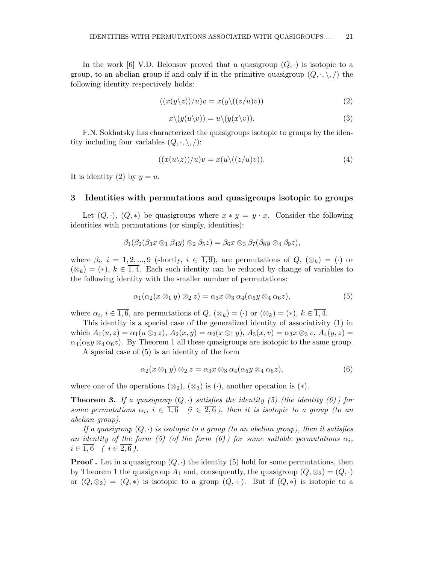In the work [6] V.D. Belousov proved that a quasigroup  $(Q, \cdot)$  is isotopic to a group, to an abelian group if and only if in the primitive quasigroup  $(Q, \cdot, \setminus, \cdot)$  the following identity respectively holds:

$$
((x(y \backslash z)) / u)v = x(y \backslash ((z/u)v))
$$
\n(2)

$$
x \setminus (y(u \setminus v)) = u \setminus (y(x \setminus v)). \tag{3}
$$

F.N. Sokhatsky has characterized the quasigroups isotopic to groups by the identity including four variables  $(Q, \cdot, \setminus, \cdot)$ :

$$
((x(u\backslash z))/u)v = x(u\backslash ((z/u)v)).
$$
\n(4)

It is identity (2) by  $y = u$ .

#### 3 Identities with permutations and quasigroups isotopic to groups

Let  $(Q, \cdot)$ ,  $(Q, *)$  be quasigroups where  $x * y = y \cdot x$ . Consider the following identities with permutations (or simply, identities):

$$
\beta_1(\beta_2(\beta_3 x\otimes_1\beta_4 y)\otimes_2\beta_5 z)=\beta_6 x\otimes_3\beta_7(\beta_8 y\otimes_4\beta_9 z),
$$

where  $\beta_i$ ,  $i = 1, 2, ..., 9$  (shortly,  $i \in \overline{1,9}$ ), are permutations of  $Q$ ,  $(\otimes_k) = (\cdot)$  or  $(\otimes_k) = (*), k \in \overline{1,4}.$  Each such identity can be reduced by change of variables to the following identity with the smaller number of permutations:

$$
\alpha_1(\alpha_2(x\otimes_1 y)\otimes_2 z)=\alpha_3x\otimes_3\alpha_4(\alpha_5y\otimes_4\alpha_6z),\tag{5}
$$

where  $\alpha_i, i \in \overline{1,6}$ , are permutations of  $Q, (\otimes_k) = (\cdot)$  or  $(\otimes_k) = (*), k \in \overline{1,4}$ .

This identity is a special case of the generalized identity of associativity (1) in which  $A_1(u, z) = \alpha_1(u \otimes_2 z)$ ,  $A_2(x, y) = \alpha_2(x \otimes_1 y)$ ,  $A_3(x, v) = \alpha_3 x \otimes_3 v$ ,  $A_4(y, z) =$  $\alpha_4(\alpha_5y\otimes_4\alpha_6z)$ . By Theorem 1 all these quasigroups are isotopic to the same group.

A special case of (5) is an identity of the form

$$
\alpha_2(x \otimes_1 y) \otimes_2 z = \alpha_3 x \otimes_3 \alpha_4(\alpha_5 y \otimes_4 \alpha_6 z), \tag{6}
$$

where one of the operations  $(\otimes_2)$ ,  $(\otimes_3)$  is  $(\cdot)$ , another operation is  $(*)$ .

**Theorem 3.** If a quasigroup  $(Q, \cdot)$  satisfies the identity (5) (the identity (6)) for some permutations  $\alpha_i, i \in \overline{1,6}$   $(i \in \overline{2,6})$ , then it is isotopic to a group (to an abelian group).

If a quasigroup  $(Q, \cdot)$  is isotopic to a group (to an abelian group), then it satisfies an identity of the form (5) (of the form (6)) for some suitable permutations  $\alpha_i$ ,  $i \in \overline{1,6}$  (  $i \in \overline{2,6}$  ).

**Proof.** Let in a quasigroup  $(Q, \cdot)$  the identity (5) hold for some permutations, then by Theorem 1 the quasigroup  $A_1$  and, consequently, the quasigroup  $(Q, \otimes_2) = (Q, \cdot)$ or  $(Q, \otimes_2) = (Q, *)$  is isotopic to a group  $(Q, +)$ . But if  $(Q, *)$  is isotopic to a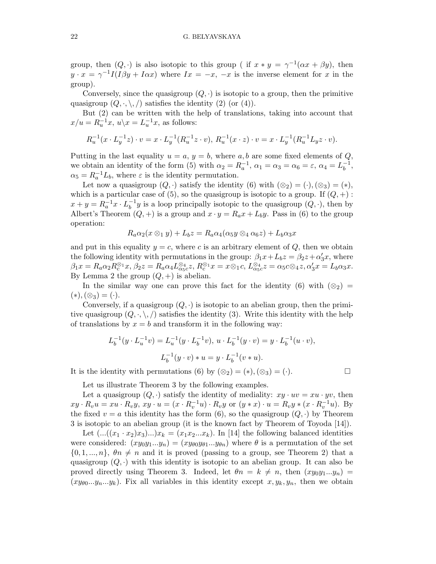group, then  $(Q, \cdot)$  is also isotopic to this group ( if  $x * y = \gamma^{-1}(\alpha x + \beta y)$ , then  $y \cdot x = \gamma^{-1} I(I \beta y + I \alpha x)$  where  $Ix = -x, -x$  is the inverse element for x in the group).

Conversely, since the quasigroup  $(Q, \cdot)$  is isotopic to a group, then the primitive quasigroup  $(Q, \cdot, \setminus, \cdot)$  satisfies the identity  $(2)$  (or  $(4)$ ).

But (2) can be written with the help of translations, taking into account that  $x/u = R_u^{-1}x, u \backslash x = L_u^{-1}x$ , as follows:

$$
R_u^{-1}(x \cdot L_y^{-1}z) \cdot v = x \cdot L_y^{-1}(R_u^{-1}z \cdot v), \ R_u^{-1}(x \cdot z) \cdot v = x \cdot L_y^{-1}(R_u^{-1}L_yz \cdot v).
$$

Putting in the last equality  $u = a, y = b$ , where a, b are some fixed elements of Q, we obtain an identity of the form (5) with  $\alpha_2 = R_a^{-1}$ ,  $\alpha_1 = \alpha_3 = \alpha_6 = \varepsilon$ ,  $\alpha_4 = L_b^{-1}$  $\frac{-1}{b}$ ,  $\alpha_5 = R_a^{-1} L_b$ , where  $\varepsilon$  is the identity permutation.

Let now a quasigroup  $(Q, \cdot)$  satisfy the identity  $(6)$  with  $(\otimes_2) = (\cdot), (\otimes_3) = (*),$ which is a particular case of (5), so the quasigroup is isotopic to a group. If  $(Q, +)$ :  $x + y = R_a^{-1}x \cdot L_b^{-1}$  $b^{-1}y$  is a loop principally isotopic to the quasigroup  $(Q, \cdot)$ , then by Albert's Theorem  $(Q, +)$  is a group and  $x \cdot y = R_a x + L_b y$ . Pass in (6) to the group operation:

$$
R_a\alpha_2(x\otimes_1 y)+L_bz=R_a\alpha_4(\alpha_5 y\otimes_4 \alpha_6 z)+L_b\alpha_3 x
$$

and put in this equality  $y = c$ , where c is an arbitrary element of Q, then we obtain the following identity with permutations in the group:  $\beta_1 x + L_b z = \beta_2 z + \alpha'_3 x$ , where  $\beta_1 x = R_a \alpha_2 R_c^{\otimes_1} x, \beta_2 z = R_a \alpha_4 L_{\alpha_5 c}^{\otimes_4} z, R_c^{\otimes_1} x = x \otimes_1 c, L_{\alpha_5 c}^{\otimes_4} z = \alpha_5 c \otimes_4 z, \alpha'_3 x = L_b \alpha_3 x.$ By Lemma 2 the group  $(Q,+)$  is abelian.

In the similar way one can prove this fact for the identity (6) with  $(\otimes_2)$  =  $(*),(\otimes_3)=(\cdot).$ 

Conversely, if a quasigroup  $(Q, \cdot)$  is isotopic to an abelian group, then the primitive quasigroup  $(Q, \cdot, \setminus, \setminus)$  satisfies the identity (3). Write this identity with the help of translations by  $x = b$  and transform it in the following way:

$$
L_b^{-1}(y \cdot L_u^{-1}v) = L_u^{-1}(y \cdot L_b^{-1}v), \ u \cdot L_b^{-1}(y \cdot v) = y \cdot L_b^{-1}(u \cdot v),
$$
  

$$
L_b^{-1}(y \cdot v) * u = y \cdot L_b^{-1}(v * u).
$$

It is the identity with permutations (6) by  $(\otimes_2) = (*), (\otimes_3) = (\cdot)$ .

Let us illustrate Theorem 3 by the following examples.

Let a quasigroup  $(Q, \cdot)$  satisfy the identity of mediality:  $xy \cdot uv = xu \cdot yv$ , then  $xy \cdot R_v u = xu \cdot R_v y, xy \cdot u = (x \cdot R_v^{-1} u) \cdot R_v y$  or  $(y * x) \cdot u = R_v y * (x \cdot R_v^{-1} u)$ . By the fixed  $v = a$  this identity has the form (6), so the quasigroup  $(Q, \cdot)$  by Theorem 3 is isotopic to an abelian group (it is the known fact by Theorem of Toyoda [14]).

Let  $(...((x_1 \cdot x_2)x_3)...)x_k = (x_1x_2...x_k)$ . In [14] the following balanced identities were considered:  $(xy_0y_1...y_n) = (xy_{\theta 0}y_{\theta 1}...y_{\theta n})$  where  $\theta$  is a permutation of the set  $\{0, 1, ..., n\}, \theta\in\mathbb{R}$  and it is proved (passing to a group, see Theorem 2) that a quasigroup  $(Q, \cdot)$  with this identity is isotopic to an abelian group. It can also be proved directly using Theorem 3. Indeed, let  $\theta_n = k \neq n$ , then  $(xy_0y_1...y_n) =$  $(xy_{\theta0}...y_n...y_k)$ . Fix all variables in this identity except  $x, y_k, y_n$ , then we obtain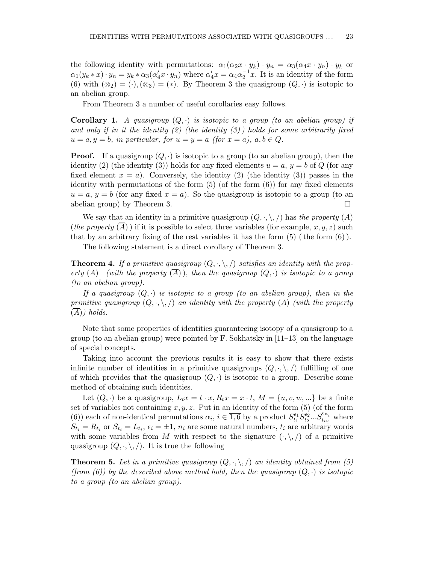the following identity with permutations:  $\alpha_1(\alpha_2 x \cdot y_k) \cdot y_n = \alpha_3(\alpha_4 x \cdot y_n) \cdot y_k$  or  $\alpha_1(y_k * x) \cdot y_n = y_k * \alpha_3(\alpha'_4 x \cdot y_n)$  where  $\alpha'_4 x = \alpha_4 \alpha_2^{-1} x$ . It is an identity of the form (6) with  $(\otimes_2) = (\cdot), (\otimes_3) = (*)$ . By Theorem 3 the quasigroup  $(Q, \cdot)$  is isotopic to an abelian group.

From Theorem 3 a number of useful corollaries easy follows.

**Corollary 1.** A quasigroup  $(Q, \cdot)$  is isotopic to a group (to an abelian group) if and only if in it the identity  $(2)$  (the identity  $(3)$ ) holds for some arbitrarily fixed  $u = a, y = b$ , in particular, for  $u = y = a$  (for  $x = a$ ),  $a, b \in Q$ .

**Proof.** If a quasigroup  $(Q, \cdot)$  is isotopic to a group (to an abelian group), then the identity (2) (the identity (3)) holds for any fixed elements  $u = a, y = b$  of Q (for any fixed element  $x = a$ ). Conversely, the identity (2) (the identity (3)) passes in the identity with permutations of the form  $(5)$  (of the form  $(6)$ ) for any fixed elements  $u = a, y = b$  (for any fixed  $x = a$ ). So the quasigroup is isotopic to a group (to an abelian group) by Theorem 3.

We say that an identity in a primitive quasigroup  $(Q, \cdot, \setminus, \cdot)$  has the property  $(A)$ *(the property (A))* if it is possible to select three variables (for example,  $x, y, z$ ) such that by an arbitrary fixing of the rest variables it has the form  $(5)$  (the form  $(6)$ ).

The following statement is a direct corollary of Theorem 3.

**Theorem 4.** If a primitive quasigroup  $(Q, \cdot, \cdot, \cdot)$  satisfies an identity with the property (A) (with the property  $(\overline{A})$ ), then the quasigroup  $(Q, \cdot)$  is isotopic to a group (to an abelian group).

If a quasigroup  $(Q, \cdot)$  is isotopic to a group (to an abelian group), then in the primitive quasigroup  $(Q, \cdot, \cdot, \cdot)$  an identity with the property  $(A)$  (with the property  $(A)$ ) holds.

Note that some properties of identities guaranteeing isotopy of a quasigroup to a group (to an abelian group) were pointed by F. Sokhatsky in  $[11-13]$  on the language of special concepts.

Taking into account the previous results it is easy to show that there exists infinite number of identities in a primitive quasigroups  $(Q, \cdot, \cdot)$  fulfilling of one of which provides that the quasigroup  $(Q, \cdot)$  is isotopic to a group. Describe some method of obtaining such identities.

Let  $(Q, \cdot)$  be a quasigroup,  $L_t x = t \cdot x$ ,  $R_t x = x \cdot t$ ,  $M = \{u, v, w, ...\}$  be a finite set of variables not containing  $x, y, z$ . Put in an identity of the form (5) (of the form (6)) each of non-identical permutations  $\alpha_i, i \in \overline{1,6}$  by a product  $S_{t_1}^{\epsilon_1} S_{t_2}^{\epsilon_2} ... S_{t_{n_i}}^{\epsilon_{n_i}}$  where  $S_{t_i} = R_{t_i}$  or  $S_{t_i} = L_{t_i}, \epsilon_i = \pm 1, n_i$  are some natural numbers,  $t_i$  are arbitrary words with some variables from M with respect to the signature  $(\cdot, \backslash, \cdot)$  of a primitive quasigroup  $(Q, \cdot, \setminus, \cdot)$ . It is true the following

**Theorem 5.** Let in a primitive quasigroup  $(Q, \cdot, \cdot)$  an identity obtained from (5) (from (6)) by the described above method hold, then the quasigroup  $(Q, \cdot)$  is isotopic to a group (to an abelian group).